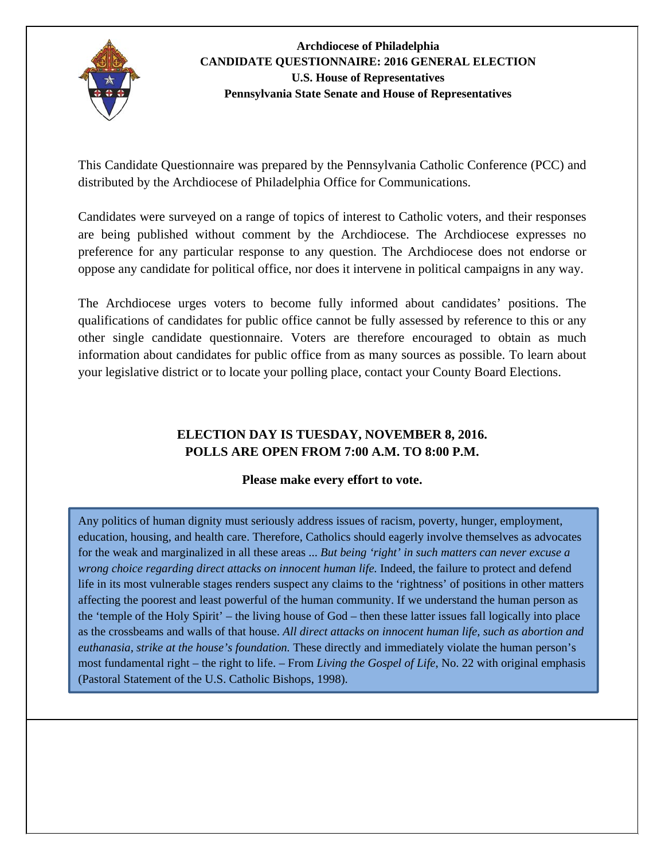

This Candidate Questionnaire was prepared by the Pennsylvania Catholic Conference (PCC) and distributed by the Archdiocese of Philadelphia Office for Communications.

Candidates were surveyed on a range of topics of interest to Catholic voters, and their responses are being published without comment by the Archdiocese. The Archdiocese expresses no preference for any particular response to any question. The Archdiocese does not endorse or oppose any candidate for political office, nor does it intervene in political campaigns in any way.

The Archdiocese urges voters to become fully informed about candidates' positions. The qualifications of candidates for public office cannot be fully assessed by reference to this or any other single candidate questionnaire. Voters are therefore encouraged to obtain as much information about candidates for public office from as many sources as possible. To learn about your legislative district or to locate your polling place, contact your County Board Elections.

## **ELECTION DAY IS TUESDAY, NOVEMBER 8, 2016. POLLS ARE OPEN FROM 7:00 A.M. TO 8:00 P.M.**

#### **Please make every effort to vote.**

Any politics of human dignity must seriously address issues of racism, poverty, hunger, employment, education, housing, and health care. Therefore, Catholics should eagerly involve themselves as advocates for the weak and marginalized in all these areas ... *But being 'right' in such matters can never excuse a wrong choice regarding direct attacks on innocent human life.* Indeed, the failure to protect and defend life in its most vulnerable stages renders suspect any claims to the 'rightness' of positions in other matters affecting the poorest and least powerful of the human community. If we understand the human person as the 'temple of the Holy Spirit' – the living house of God – then these latter issues fall logically into place as the crossbeams and walls of that house. *All direct attacks on innocent human life, such as abortion and euthanasia, strike at the house's foundation.* These directly and immediately violate the human person's most fundamental right – the right to life. – From *Living the Gospel of Life*, No. 22 with original emphasis (Pastoral Statement of the U.S. Catholic Bishops, 1998).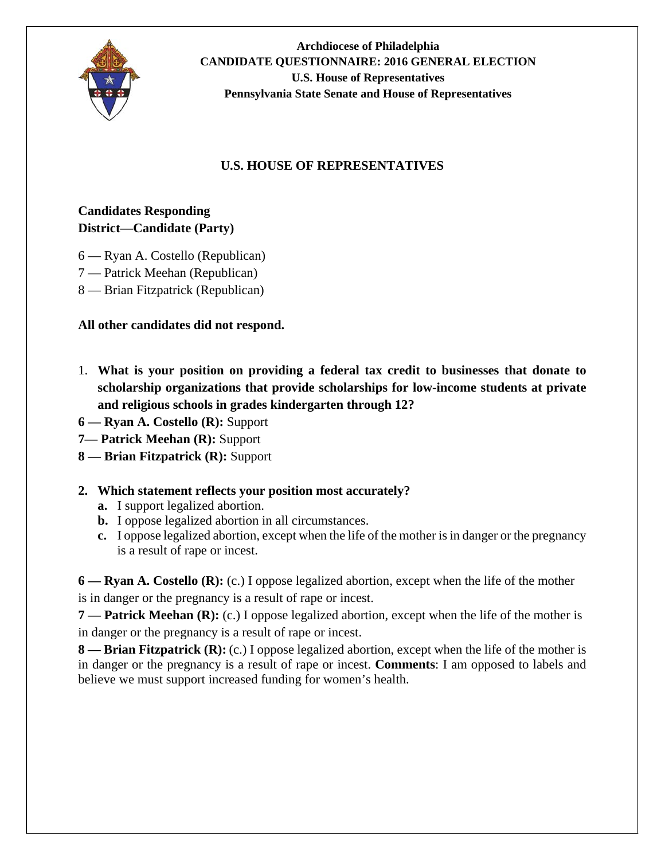

## **U.S. HOUSE OF REPRESENTATIVES**

## **Candidates Responding District—Candidate (Party)**

- 6 Ryan A. Costello (Republican)
- 7 Patrick Meehan (Republican)
- 8 Brian Fitzpatrick (Republican)

### **All other candidates did not respond.**

- 1. **What is your position on providing a federal tax credit to businesses that donate to scholarship organizations that provide scholarships for low-income students at private and religious schools in grades kindergarten through 12?**
- **6 Ryan A. Costello (R):** Support
- **7— Patrick Meehan (R):** Support
- **8 Brian Fitzpatrick (R):** Support
- **2. Which statement reflects your position most accurately?** 
	- **a.** I support legalized abortion.
	- **b.** I oppose legalized abortion in all circumstances.
	- **c.** I oppose legalized abortion, except when the life of the mother is in danger or the pregnancy is a result of rape or incest.

**6 — Ryan A. Costello (R):** (c.) I oppose legalized abortion, except when the life of the mother is in danger or the pregnancy is a result of rape or incest.

**7** — **Patrick Meehan (R):** (c.) I oppose legalized abortion, except when the life of the mother is in danger or the pregnancy is a result of rape or incest.

**8**— **Brian Fitzpatrick (R):** (c.) I oppose legalized abortion, except when the life of the mother is in danger or the pregnancy is a result of rape or incest. **Comments**: I am opposed to labels and believe we must support increased funding for women's health.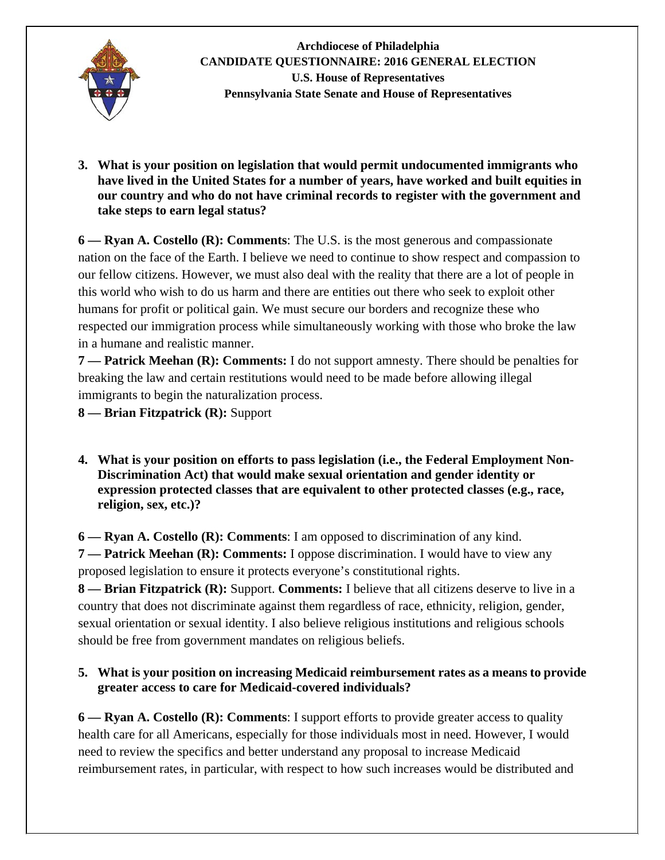

**3. What is your position on legislation that would permit undocumented immigrants who have lived in the United States for a number of years, have worked and built equities in our country and who do not have criminal records to register with the government and take steps to earn legal status?** 

**6 — Ryan A. Costello (R): Comments**: The U.S. is the most generous and compassionate nation on the face of the Earth. I believe we need to continue to show respect and compassion to our fellow citizens. However, we must also deal with the reality that there are a lot of people in this world who wish to do us harm and there are entities out there who seek to exploit other humans for profit or political gain. We must secure our borders and recognize these who respected our immigration process while simultaneously working with those who broke the law in a humane and realistic manner.

**7 — Patrick Meehan (R): Comments:** I do not support amnesty. There should be penalties for breaking the law and certain restitutions would need to be made before allowing illegal immigrants to begin the naturalization process.

**8 — Brian Fitzpatrick (R):** Support

**4. What is your position on efforts to pass legislation (i.e., the Federal Employment Non-Discrimination Act) that would make sexual orientation and gender identity or expression protected classes that are equivalent to other protected classes (e.g., race, religion, sex, etc.)?** 

**6 — Ryan A. Costello (R): Comments**: I am opposed to discrimination of any kind.

**7 — Patrick Meehan (R): Comments:** I oppose discrimination. I would have to view any proposed legislation to ensure it protects everyone's constitutional rights.

**8 — Brian Fitzpatrick (R):** Support. **Comments:** I believe that all citizens deserve to live in a country that does not discriminate against them regardless of race, ethnicity, religion, gender, sexual orientation or sexual identity. I also believe religious institutions and religious schools should be free from government mandates on religious beliefs.

### **5. What is your position on increasing Medicaid reimbursement rates as a means to provide greater access to care for Medicaid-covered individuals?**

**6 — Ryan A. Costello (R): Comments**: I support efforts to provide greater access to quality health care for all Americans, especially for those individuals most in need. However, I would need to review the specifics and better understand any proposal to increase Medicaid reimbursement rates, in particular, with respect to how such increases would be distributed and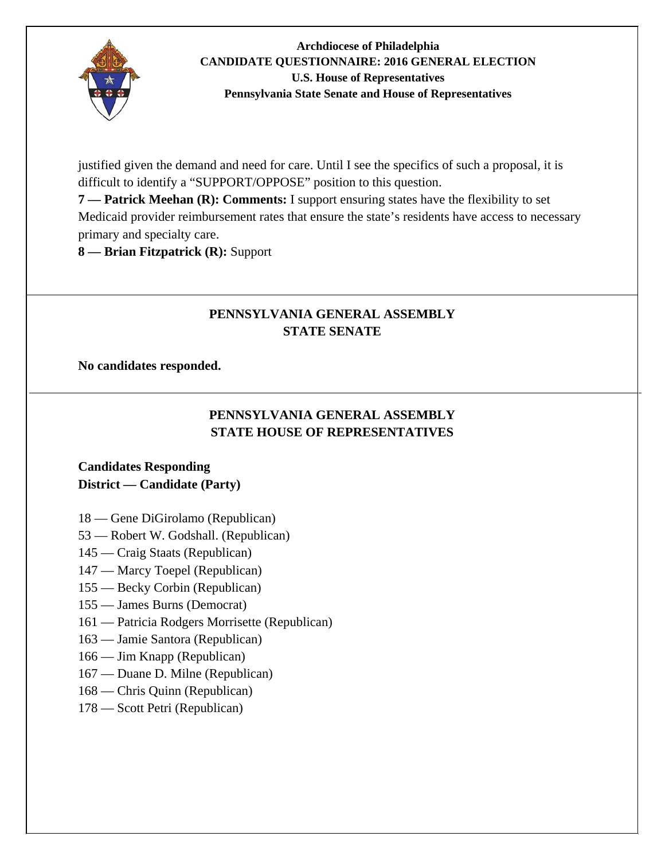

justified given the demand and need for care. Until I see the specifics of such a proposal, it is difficult to identify a "SUPPORT/OPPOSE" position to this question.

**7 — Patrick Meehan (R): Comments:** I support ensuring states have the flexibility to set Medicaid provider reimbursement rates that ensure the state's residents have access to necessary primary and specialty care.

**8 — Brian Fitzpatrick (R):** Support

# **PENNSYLVANIA GENERAL ASSEMBLY STATE SENATE**

#### **No candidates responded.**

# **PENNSYLVANIA GENERAL ASSEMBLY STATE HOUSE OF REPRESENTATIVES**

### **Candidates Responding District — Candidate (Party)**

- 18 Gene DiGirolamo (Republican)
- 53 Robert W. Godshall. (Republican)
- 145 Craig Staats (Republican)
- 147 Marcy Toepel (Republican)
- 155 Becky Corbin (Republican)
- 155 James Burns (Democrat)
- 161 Patricia Rodgers Morrisette (Republican)
- 163 Jamie Santora (Republican)
- 166 Jim Knapp (Republican)
- 167 Duane D. Milne (Republican)
- 168 Chris Quinn (Republican)
- 178 Scott Petri (Republican)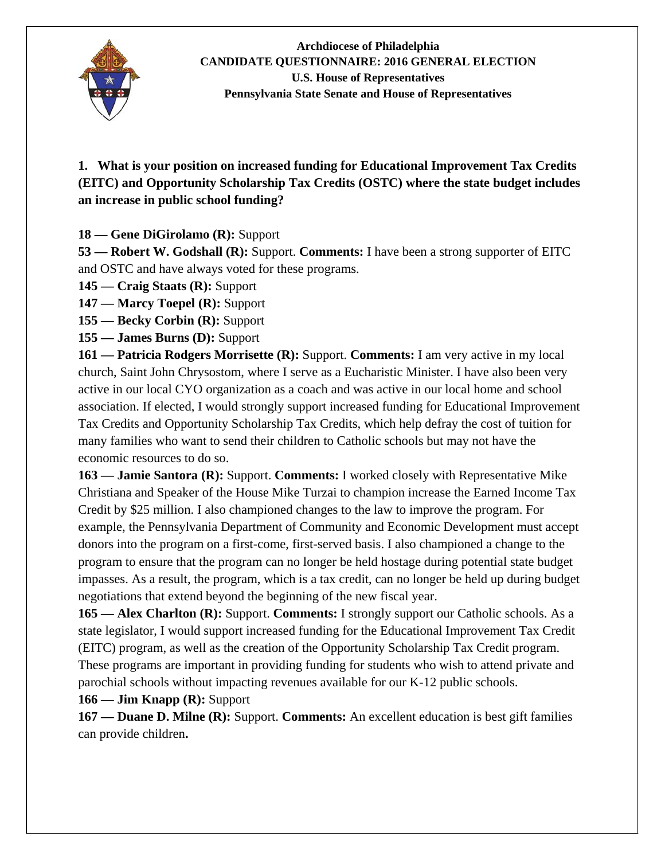

**1. What is your position on increased funding for Educational Improvement Tax Credits (EITC) and Opportunity Scholarship Tax Credits (OSTC) where the state budget includes an increase in public school funding?** 

**18 — Gene DiGirolamo (R):** Support

**53 — Robert W. Godshall (R):** Support. **Comments:** I have been a strong supporter of EITC and OSTC and have always voted for these programs.

**145 — Craig Staats (R):** Support

**147 — Marcy Toepel (R):** Support

**155 — Becky Corbin (R):** Support

**155 — James Burns (D):** Support

**161 — Patricia Rodgers Morrisette (R):** Support. **Comments:** I am very active in my local church, Saint John Chrysostom, where I serve as a Eucharistic Minister. I have also been very active in our local CYO organization as a coach and was active in our local home and school association. If elected, I would strongly support increased funding for Educational Improvement Tax Credits and Opportunity Scholarship Tax Credits, which help defray the cost of tuition for many families who want to send their children to Catholic schools but may not have the economic resources to do so.

**163 — Jamie Santora (R):** Support. **Comments:** I worked closely with Representative Mike Christiana and Speaker of the House Mike Turzai to champion increase the Earned Income Tax Credit by \$25 million. I also championed changes to the law to improve the program. For example, the Pennsylvania Department of Community and Economic Development must accept donors into the program on a first-come, first-served basis. I also championed a change to the program to ensure that the program can no longer be held hostage during potential state budget impasses. As a result, the program, which is a tax credit, can no longer be held up during budget negotiations that extend beyond the beginning of the new fiscal year.

**165 — Alex Charlton (R):** Support. **Comments:** I strongly support our Catholic schools. As a state legislator, I would support increased funding for the Educational Improvement Tax Credit (EITC) program, as well as the creation of the Opportunity Scholarship Tax Credit program. These programs are important in providing funding for students who wish to attend private and parochial schools without impacting revenues available for our K-12 public schools.

**166 — Jim Knapp (R):** Support

**167 — Duane D. Milne (R):** Support. **Comments:** An excellent education is best gift families can provide children**.**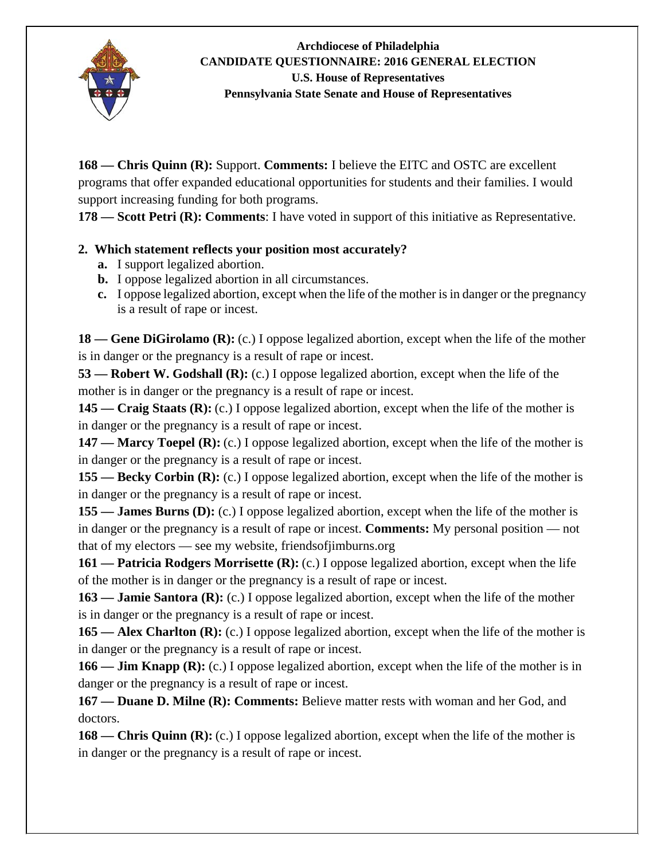

**168 — Chris Quinn (R):** Support. **Comments:** I believe the EITC and OSTC are excellent programs that offer expanded educational opportunities for students and their families. I would support increasing funding for both programs.

**178 — Scott Petri (R): Comments**: I have voted in support of this initiative as Representative.

# **2. Which statement reflects your position most accurately?**

- **a.** I support legalized abortion.
- **b.** I oppose legalized abortion in all circumstances.
- **c.** I oppose legalized abortion, except when the life of the mother is in danger or the pregnancy is a result of rape or incest.

**18** — Gene DiGirolamo (R): (c.) I oppose legalized abortion, except when the life of the mother is in danger or the pregnancy is a result of rape or incest.

**53 — Robert W. Godshall (R):** (c.) I oppose legalized abortion, except when the life of the mother is in danger or the pregnancy is a result of rape or incest.

**145 — Craig Staats (R):** (c.) I oppose legalized abortion, except when the life of the mother is in danger or the pregnancy is a result of rape or incest.

**147** — **Marcy Toepel (R):** (c.) I oppose legalized abortion, except when the life of the mother is in danger or the pregnancy is a result of rape or incest.

**155 — Becky Corbin (R):** (c.) I oppose legalized abortion, except when the life of the mother is in danger or the pregnancy is a result of rape or incest.

**155 — James Burns (D):** (c.) I oppose legalized abortion, except when the life of the mother is in danger or the pregnancy is a result of rape or incest. **Comments:** My personal position — not that of my electors — see my website, friendsofjimburns.org

**161 — Patricia Rodgers Morrisette (R):** (c.) I oppose legalized abortion, except when the life of the mother is in danger or the pregnancy is a result of rape or incest.

**163 — Jamie Santora (R):** (c.) I oppose legalized abortion, except when the life of the mother is in danger or the pregnancy is a result of rape or incest.

165 — Alex Charlton (R): (c.) I oppose legalized abortion, except when the life of the mother is in danger or the pregnancy is a result of rape or incest.

**166 — Jim Knapp (R):** (c.) I oppose legalized abortion, except when the life of the mother is in danger or the pregnancy is a result of rape or incest.

**167 — Duane D. Milne (R): Comments:** Believe matter rests with woman and her God, and doctors.

**168 — Chris Quinn (R):** (c.) I oppose legalized abortion, except when the life of the mother is in danger or the pregnancy is a result of rape or incest.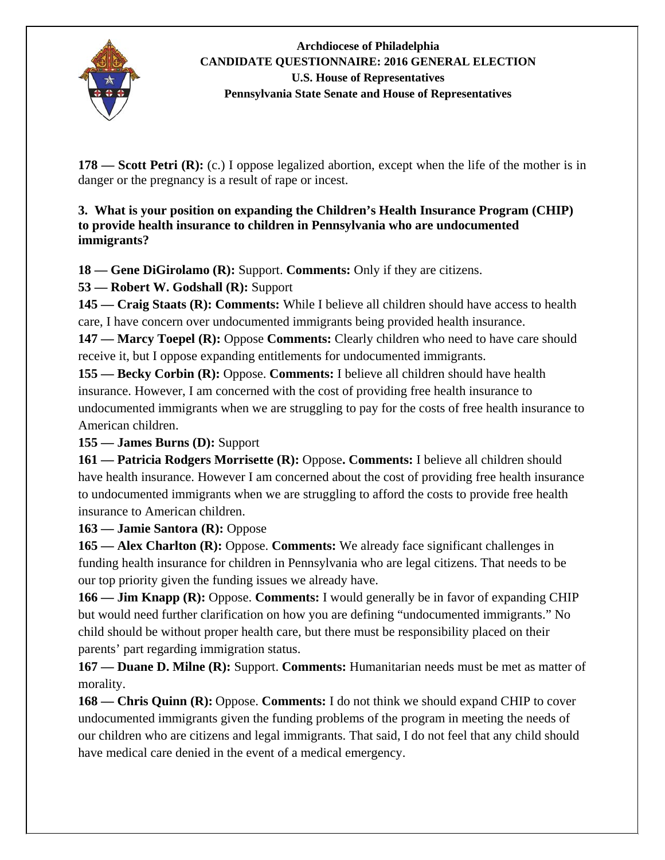

**178** — Scott Petri (R): (c.) I oppose legalized abortion, except when the life of the mother is in danger or the pregnancy is a result of rape or incest.

### **3. What is your position on expanding the Children's Health Insurance Program (CHIP) to provide health insurance to children in Pennsylvania who are undocumented immigrants?**

**18 — Gene DiGirolamo (R):** Support. **Comments:** Only if they are citizens.

**53 — Robert W. Godshall (R):** Support

**145 — Craig Staats (R): Comments:** While I believe all children should have access to health care, I have concern over undocumented immigrants being provided health insurance.

**147 — Marcy Toepel (R):** Oppose **Comments:** Clearly children who need to have care should receive it, but I oppose expanding entitlements for undocumented immigrants.

**155 — Becky Corbin (R):** Oppose. **Comments:** I believe all children should have health insurance. However, I am concerned with the cost of providing free health insurance to undocumented immigrants when we are struggling to pay for the costs of free health insurance to American children.

**155 — James Burns (D):** Support

**161 — Patricia Rodgers Morrisette (R):** Oppose**. Comments:** I believe all children should have health insurance. However I am concerned about the cost of providing free health insurance to undocumented immigrants when we are struggling to afford the costs to provide free health insurance to American children.

**163 — Jamie Santora (R):** Oppose

**165 — Alex Charlton (R):** Oppose. **Comments:** We already face significant challenges in funding health insurance for children in Pennsylvania who are legal citizens. That needs to be our top priority given the funding issues we already have.

**166 — Jim Knapp (R):** Oppose. **Comments:** I would generally be in favor of expanding CHIP but would need further clarification on how you are defining "undocumented immigrants." No child should be without proper health care, but there must be responsibility placed on their parents' part regarding immigration status.

**167 — Duane D. Milne (R):** Support. **Comments:** Humanitarian needs must be met as matter of morality.

**168 — Chris Quinn (R):** Oppose. **Comments:** I do not think we should expand CHIP to cover undocumented immigrants given the funding problems of the program in meeting the needs of our children who are citizens and legal immigrants. That said, I do not feel that any child should have medical care denied in the event of a medical emergency.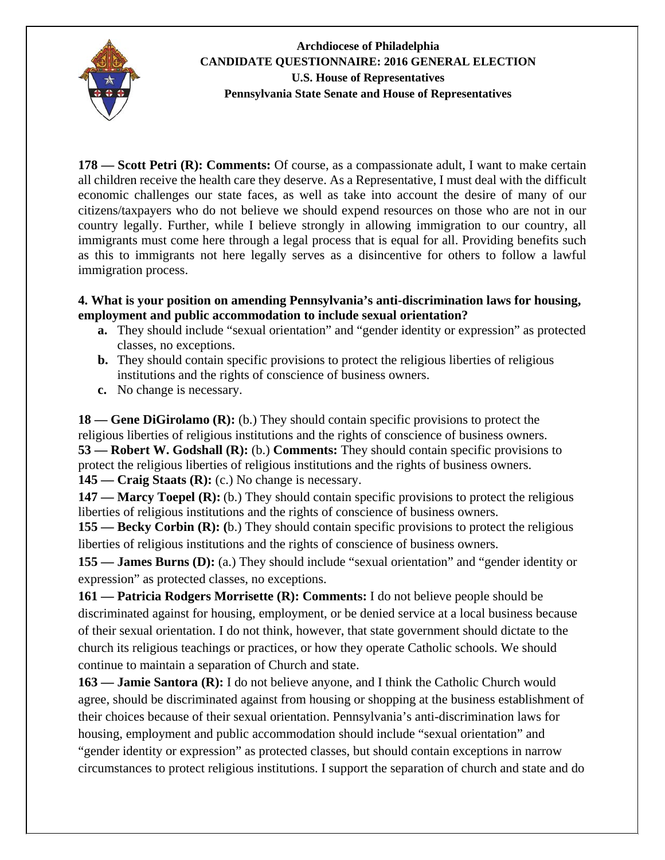

**178 — Scott Petri (R): Comments:** Of course, as a compassionate adult, I want to make certain all children receive the health care they deserve. As a Representative, I must deal with the difficult economic challenges our state faces, as well as take into account the desire of many of our citizens/taxpayers who do not believe we should expend resources on those who are not in our country legally. Further, while I believe strongly in allowing immigration to our country, all immigrants must come here through a legal process that is equal for all. Providing benefits such as this to immigrants not here legally serves as a disincentive for others to follow a lawful immigration process.

#### **4. What is your position on amending Pennsylvania's anti-discrimination laws for housing, employment and public accommodation to include sexual orientation?**

- **a.** They should include "sexual orientation" and "gender identity or expression" as protected classes, no exceptions.
- **b.** They should contain specific provisions to protect the religious liberties of religious institutions and the rights of conscience of business owners.
- **c.** No change is necessary.

**18 — Gene DiGirolamo (R):** (b.) They should contain specific provisions to protect the religious liberties of religious institutions and the rights of conscience of business owners. **53 — Robert W. Godshall (R):** (b.) **Comments:** They should contain specific provisions to protect the religious liberties of religious institutions and the rights of business owners. **145 — Craig Staats (R):** (c.) No change is necessary.

**147 — Marcy Toepel (R):** (b.) They should contain specific provisions to protect the religious liberties of religious institutions and the rights of conscience of business owners.

**155 — Becky Corbin (R): (**b.) They should contain specific provisions to protect the religious liberties of religious institutions and the rights of conscience of business owners.

**155 — James Burns (D):** (a.) They should include "sexual orientation" and "gender identity or expression" as protected classes, no exceptions.

**161 — Patricia Rodgers Morrisette (R): Comments:** I do not believe people should be discriminated against for housing, employment, or be denied service at a local business because of their sexual orientation. I do not think, however, that state government should dictate to the church its religious teachings or practices, or how they operate Catholic schools. We should continue to maintain a separation of Church and state.

**163 — Jamie Santora (R):** I do not believe anyone, and I think the Catholic Church would agree, should be discriminated against from housing or shopping at the business establishment of their choices because of their sexual orientation. Pennsylvania's anti-discrimination laws for housing, employment and public accommodation should include "sexual orientation" and "gender identity or expression" as protected classes, but should contain exceptions in narrow circumstances to protect religious institutions. I support the separation of church and state and do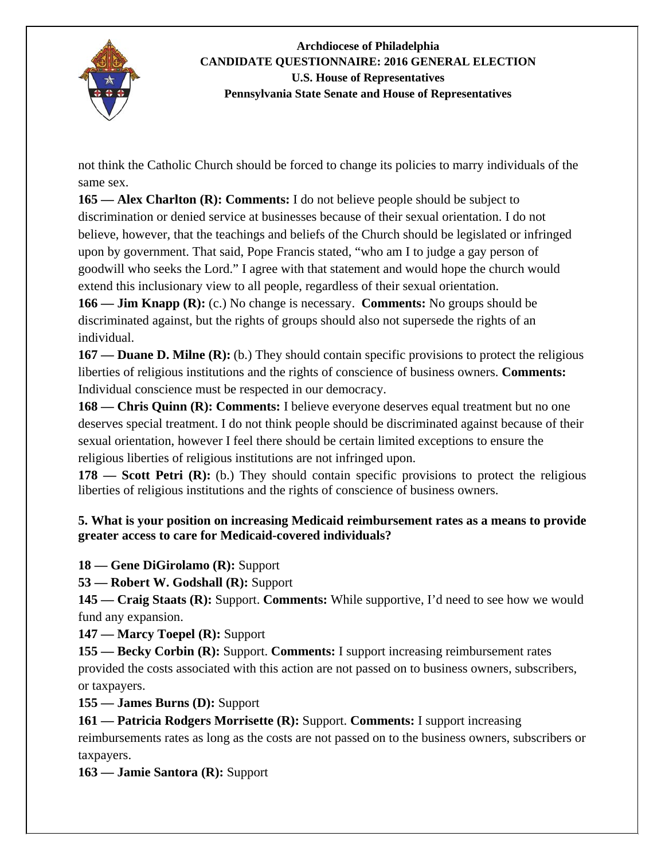

not think the Catholic Church should be forced to change its policies to marry individuals of the same sex.

**165 — Alex Charlton (R): Comments:** I do not believe people should be subject to discrimination or denied service at businesses because of their sexual orientation. I do not believe, however, that the teachings and beliefs of the Church should be legislated or infringed upon by government. That said, Pope Francis stated, "who am I to judge a gay person of goodwill who seeks the Lord." I agree with that statement and would hope the church would extend this inclusionary view to all people, regardless of their sexual orientation.

**166 — Jim Knapp (R):** (c.) No change is necessary. **Comments:** No groups should be discriminated against, but the rights of groups should also not supersede the rights of an individual.

**167 — Duane D. Milne (R):** (b.) They should contain specific provisions to protect the religious liberties of religious institutions and the rights of conscience of business owners. **Comments:**  Individual conscience must be respected in our democracy.

**168 — Chris Quinn (R): Comments:** I believe everyone deserves equal treatment but no one deserves special treatment. I do not think people should be discriminated against because of their sexual orientation, however I feel there should be certain limited exceptions to ensure the religious liberties of religious institutions are not infringed upon.

**178 — Scott Petri (R):** (b.) They should contain specific provisions to protect the religious liberties of religious institutions and the rights of conscience of business owners.

### **5. What is your position on increasing Medicaid reimbursement rates as a means to provide greater access to care for Medicaid-covered individuals?**

**18 — Gene DiGirolamo (R):** Support

**53 — Robert W. Godshall (R):** Support

**145 — Craig Staats (R):** Support. **Comments:** While supportive, I'd need to see how we would fund any expansion.

**147 — Marcy Toepel (R):** Support

**155 — Becky Corbin (R):** Support. **Comments:** I support increasing reimbursement rates provided the costs associated with this action are not passed on to business owners, subscribers, or taxpayers.

**155 — James Burns (D):** Support

**161 — Patricia Rodgers Morrisette (R):** Support. **Comments:** I support increasing reimbursements rates as long as the costs are not passed on to the business owners, subscribers or taxpayers.

**163 — Jamie Santora (R):** Support